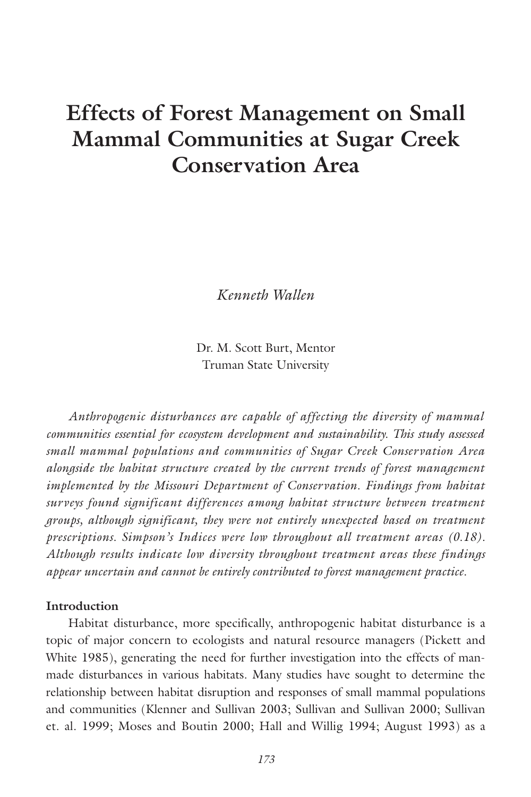# **Effects of Forest Management on Small Mammal Communities at Sugar Creek Conservation Area**

*Kenneth Wallen*

Dr. M. Scott Burt, Mentor Truman State University

*Anthropogenic disturbances are capable of affecting the diversity of mammal communities essential for ecosystem development and sustainability. This study assessed small mammal populations and communities of Sugar Creek Conservation Area alongside the habitat structure created by the current trends of forest management implemented by the Missouri Department of Conservation. Findings from habitat surveys found significant differences among habitat structure between treatment groups, although significant, they were not entirely unexpected based on treatment prescriptions. Simpson's Indices were low throughout all treatment areas (0.18). Although results indicate low diversity throughout treatment areas these findings appear uncertain and cannot be entirely contributed to forest management practice.*

## **Introduction**

Habitat disturbance, more specifically, anthropogenic habitat disturbance is a topic of major concern to ecologists and natural resource managers (Pickett and White 1985), generating the need for further investigation into the effects of manmade disturbances in various habitats. Many studies have sought to determine the relationship between habitat disruption and responses of small mammal populations and communities (Klenner and Sullivan 2003; Sullivan and Sullivan 2000; Sullivan et. al. 1999; Moses and Boutin 2000; Hall and Willig 1994; August 1993) as a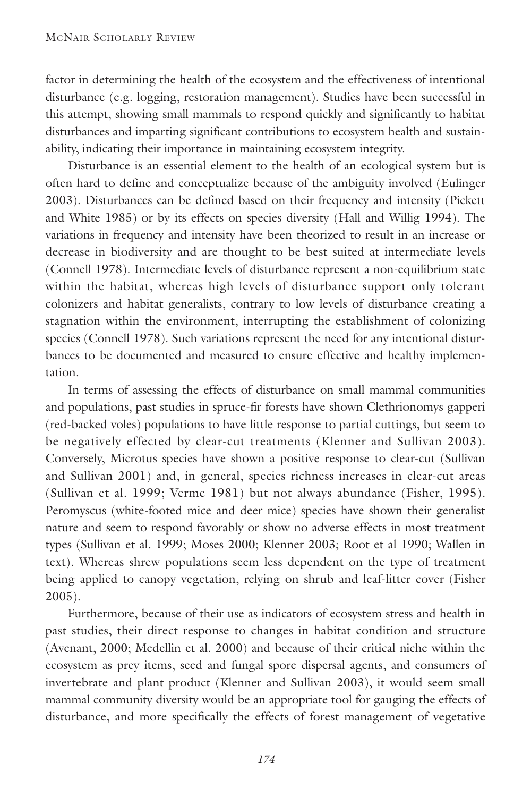factor in determining the health of the ecosystem and the effectiveness of intentional disturbance (e.g. logging, restoration management). Studies have been successful in this attempt, showing small mammals to respond quickly and significantly to habitat disturbances and imparting significant contributions to ecosystem health and sustainability, indicating their importance in maintaining ecosystem integrity.

Disturbance is an essential element to the health of an ecological system but is often hard to define and conceptualize because of the ambiguity involved (Eulinger 2003). Disturbances can be defined based on their frequency and intensity (Pickett and White 1985) or by its effects on species diversity (Hall and Willig 1994). The variations in frequency and intensity have been theorized to result in an increase or decrease in biodiversity and are thought to be best suited at intermediate levels (Connell 1978). Intermediate levels of disturbance represent a non-equilibrium state within the habitat, whereas high levels of disturbance support only tolerant colonizers and habitat generalists, contrary to low levels of disturbance creating a stagnation within the environment, interrupting the establishment of colonizing species (Connell 1978). Such variations represent the need for any intentional disturbances to be documented and measured to ensure effective and healthy implementation.

In terms of assessing the effects of disturbance on small mammal communities and populations, past studies in spruce-fir forests have shown Clethrionomys gapperi (red-backed voles) populations to have little response to partial cuttings, but seem to be negatively effected by clear-cut treatments (Klenner and Sullivan 2003). Conversely, Microtus species have shown a positive response to clear-cut (Sullivan and Sullivan 2001) and, in general, species richness increases in clear-cut areas (Sullivan et al. 1999; Verme 1981) but not always abundance (Fisher, 1995). Peromyscus (white-footed mice and deer mice) species have shown their generalist nature and seem to respond favorably or show no adverse effects in most treatment types (Sullivan et al. 1999; Moses 2000; Klenner 2003; Root et al 1990; Wallen in text). Whereas shrew populations seem less dependent on the type of treatment being applied to canopy vegetation, relying on shrub and leaf-litter cover (Fisher 2005).

Furthermore, because of their use as indicators of ecosystem stress and health in past studies, their direct response to changes in habitat condition and structure (Avenant, 2000; Medellin et al. 2000) and because of their critical niche within the ecosystem as prey items, seed and fungal spore dispersal agents, and consumers of invertebrate and plant product (Klenner and Sullivan 2003), it would seem small mammal community diversity would be an appropriate tool for gauging the effects of disturbance, and more specifically the effects of forest management of vegetative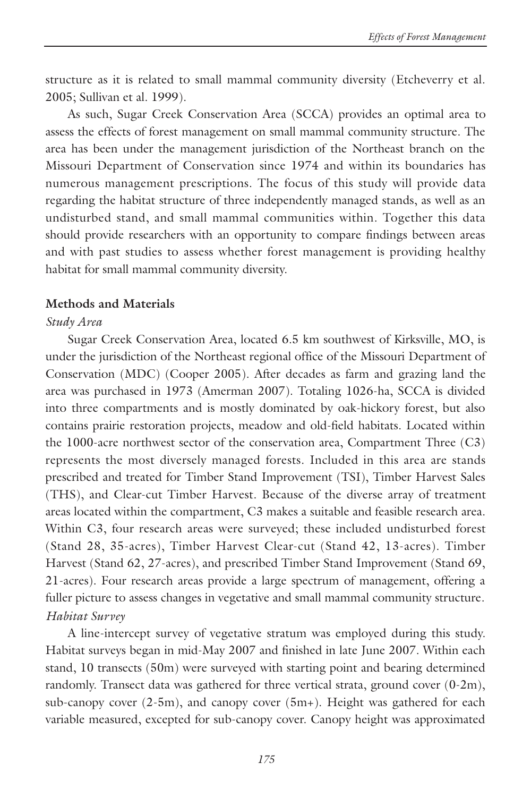structure as it is related to small mammal community diversity (Etcheverry et al. 2005; Sullivan et al. 1999).

As such, Sugar Creek Conservation Area (SCCA) provides an optimal area to assess the effects of forest management on small mammal community structure. The area has been under the management jurisdiction of the Northeast branch on the Missouri Department of Conservation since 1974 and within its boundaries has numerous management prescriptions. The focus of this study will provide data regarding the habitat structure of three independently managed stands, as well as an undisturbed stand, and small mammal communities within. Together this data should provide researchers with an opportunity to compare findings between areas and with past studies to assess whether forest management is providing healthy habitat for small mammal community diversity.

#### **Methods and Materials**

#### *Study Area*

Sugar Creek Conservation Area, located 6.5 km southwest of Kirksville, MO, is under the jurisdiction of the Northeast regional office of the Missouri Department of Conservation (MDC) (Cooper 2005). After decades as farm and grazing land the area was purchased in 1973 (Amerman 2007). Totaling 1026-ha, SCCA is divided into three compartments and is mostly dominated by oak-hickory forest, but also contains prairie restoration projects, meadow and old-field habitats. Located within the 1000-acre northwest sector of the conservation area, Compartment Three (C3) represents the most diversely managed forests. Included in this area are stands prescribed and treated for Timber Stand Improvement (TSI), Timber Harvest Sales (THS), and Clear-cut Timber Harvest. Because of the diverse array of treatment areas located within the compartment, C3 makes a suitable and feasible research area. Within C3, four research areas were surveyed; these included undisturbed forest (Stand 28, 35-acres), Timber Harvest Clear-cut (Stand 42, 13-acres). Timber Harvest (Stand 62, 27-acres), and prescribed Timber Stand Improvement (Stand 69, 21-acres). Four research areas provide a large spectrum of management, offering a fuller picture to assess changes in vegetative and small mammal community structure. *Habitat Survey*

A line-intercept survey of vegetative stratum was employed during this study. Habitat surveys began in mid-May 2007 and finished in late June 2007. Within each stand, 10 transects (50m) were surveyed with starting point and bearing determined randomly. Transect data was gathered for three vertical strata, ground cover (0-2m), sub-canopy cover (2-5m), and canopy cover (5m+). Height was gathered for each variable measured, excepted for sub-canopy cover. Canopy height was approximated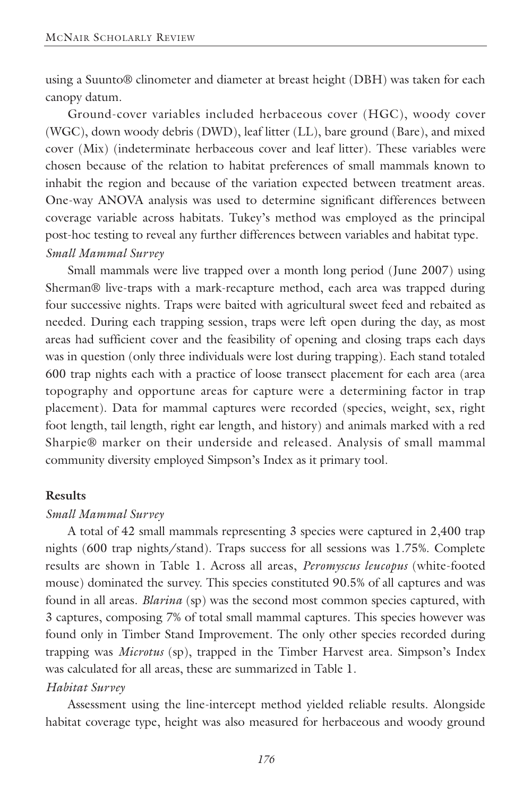using a Suunto® clinometer and diameter at breast height (DBH) was taken for each canopy datum.

Ground-cover variables included herbaceous cover (HGC), woody cover (WGC), down woody debris (DWD), leaf litter (LL), bare ground (Bare), and mixed cover (Mix) (indeterminate herbaceous cover and leaf litter). These variables were chosen because of the relation to habitat preferences of small mammals known to inhabit the region and because of the variation expected between treatment areas. One-way ANOVA analysis was used to determine significant differences between coverage variable across habitats. Tukey's method was employed as the principal post-hoc testing to reveal any further differences between variables and habitat type. *Small Mammal Survey*

Small mammals were live trapped over a month long period (June 2007) using Sherman® live-traps with a mark-recapture method, each area was trapped during four successive nights. Traps were baited with agricultural sweet feed and rebaited as needed. During each trapping session, traps were left open during the day, as most areas had sufficient cover and the feasibility of opening and closing traps each days was in question (only three individuals were lost during trapping). Each stand totaled 600 trap nights each with a practice of loose transect placement for each area (area topography and opportune areas for capture were a determining factor in trap placement). Data for mammal captures were recorded (species, weight, sex, right foot length, tail length, right ear length, and history) and animals marked with a red Sharpie® marker on their underside and released. Analysis of small mammal community diversity employed Simpson's Index as it primary tool.

#### **Results**

#### *Small Mammal Survey*

A total of 42 small mammals representing 3 species were captured in 2,400 trap nights (600 trap nights/stand). Traps success for all sessions was 1.75%. Complete results are shown in Table 1. Across all areas, *Peromyscus leucopus* (white-footed mouse) dominated the survey. This species constituted 90.5% of all captures and was found in all areas. *Blarina* (sp) was the second most common species captured, with 3 captures, composing 7% of total small mammal captures. This species however was found only in Timber Stand Improvement. The only other species recorded during trapping was *Microtus* (sp), trapped in the Timber Harvest area. Simpson's Index was calculated for all areas, these are summarized in Table 1.

#### *Habitat Survey*

Assessment using the line-intercept method yielded reliable results. Alongside habitat coverage type, height was also measured for herbaceous and woody ground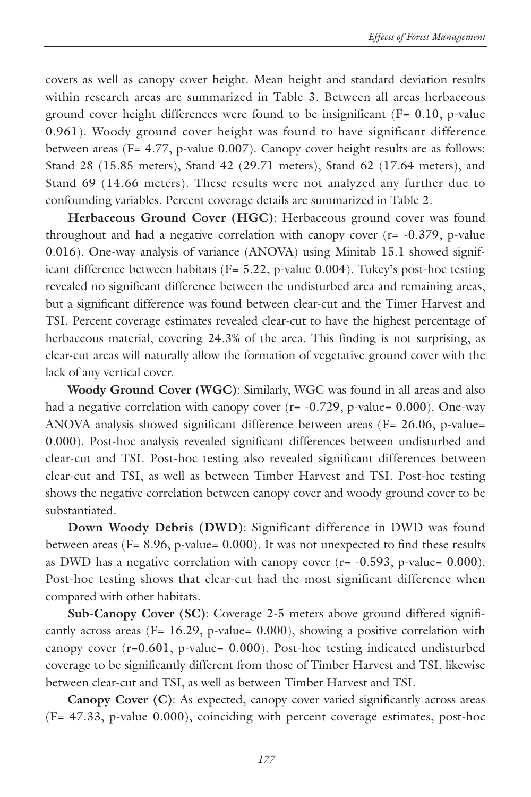covers as well as canopy cover height. Mean height and standard deviation results within research areas are summarized in Table 3. Between all areas herbaceous ground cover height differences were found to be insignificant  $(F = 0.10, p-value$ 0.961). Woody ground cover height was found to have significant difference between areas ( $F = 4.77$ , p-value 0.007). Canopy cover height results are as follows: Stand 28 (15.85 meters), Stand 42 (29.71 meters), Stand 62 (17.64 meters), and Stand 69 (14.66 meters). These results were not analyzed any further due to confounding variables. Percent coverage details are summarized in Table 2.

**Herbaceous Ground Cover (HGC)**: Herbaceous ground cover was found throughout and had a negative correlation with canopy cover (r= -0.379, p-value 0.016). One-way analysis of variance (ANOVA) using Minitab 15.1 showed significant difference between habitats ( $F = 5.22$ , p-value 0.004). Tukey's post-hoc testing revealed no significant difference between the undisturbed area and remaining areas, but a significant difference was found between clear-cut and the Timer Harvest and TSI. Percent coverage estimates revealed clear-cut to have the highest percentage of herbaceous material, covering 24.3% of the area. This finding is not surprising, as clear-cut areas will naturally allow the formation of vegetative ground cover with the lack of any vertical cover.

**Woody Ground Cover (WGC)**: Similarly, WGC was found in all areas and also had a negative correlation with canopy cover  $(r = -0.729, p-value = 0.000)$ . One-way ANOVA analysis showed significant difference between areas ( $F = 26.06$ , p-value= 0.000). Post-hoc analysis revealed significant differences between undisturbed and clear-cut and TSI. Post-hoc testing also revealed significant differences between clear-cut and TSI, as well as between Timber Harvest and TSI. Post-hoc testing shows the negative correlation between canopy cover and woody ground cover to be substantiated.

**Down Woody Debris (DWD)**: Significant difference in DWD was found between areas (F= 8.96, p-value= 0.000). It was not unexpected to find these results as DWD has a negative correlation with canopy cover  $(r = -0.593, p-value = 0.000)$ . Post-hoc testing shows that clear-cut had the most significant difference when compared with other habitats.

**Sub-Canopy Cover (SC)**: Coverage 2-5 meters above ground differed significantly across areas ( $F= 16.29$ , p-value= 0.000), showing a positive correlation with canopy cover (r=0.601, p-value= 0.000). Post-hoc testing indicated undisturbed coverage to be significantly different from those of Timber Harvest and TSI, likewise between clear-cut and TSI, as well as between Timber Harvest and TSI.

**Canopy Cover (C)**: As expected, canopy cover varied significantly across areas (F= 47.33, p-value 0.000), coinciding with percent coverage estimates, post-hoc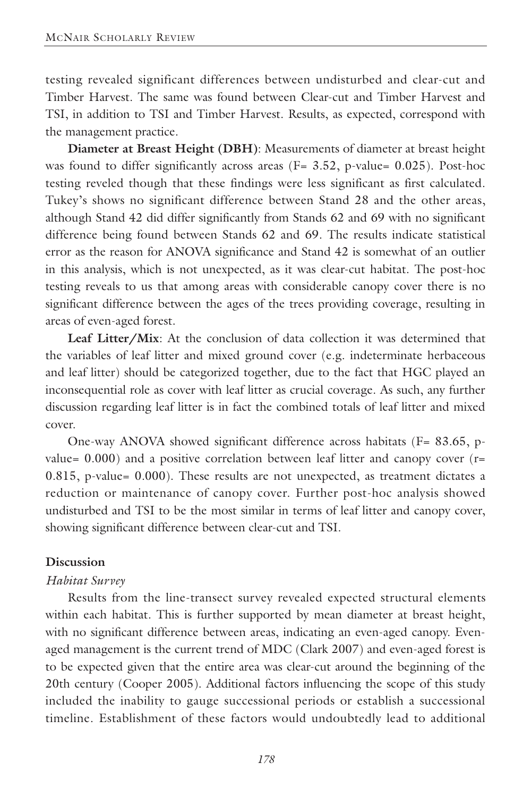testing revealed significant differences between undisturbed and clear-cut and Timber Harvest. The same was found between Clear-cut and Timber Harvest and TSI, in addition to TSI and Timber Harvest. Results, as expected, correspond with the management practice.

**Diameter at Breast Height (DBH)**: Measurements of diameter at breast height was found to differ significantly across areas ( $F = 3.52$ , p-value= 0.025). Post-hoc testing reveled though that these findings were less significant as first calculated. Tukey's shows no significant difference between Stand 28 and the other areas, although Stand 42 did differ significantly from Stands 62 and 69 with no significant difference being found between Stands 62 and 69. The results indicate statistical error as the reason for ANOVA significance and Stand 42 is somewhat of an outlier in this analysis, which is not unexpected, as it was clear-cut habitat. The post-hoc testing reveals to us that among areas with considerable canopy cover there is no significant difference between the ages of the trees providing coverage, resulting in areas of even-aged forest.

**Leaf Litter/Mix**: At the conclusion of data collection it was determined that the variables of leaf litter and mixed ground cover (e.g. indeterminate herbaceous and leaf litter) should be categorized together, due to the fact that HGC played an inconsequential role as cover with leaf litter as crucial coverage. As such, any further discussion regarding leaf litter is in fact the combined totals of leaf litter and mixed cover.

One-way ANOVA showed significant difference across habitats (F= 83.65, pvalue=  $0.000$ ) and a positive correlation between leaf litter and canopy cover ( $r=$ 0.815, p-value= 0.000). These results are not unexpected, as treatment dictates a reduction or maintenance of canopy cover. Further post-hoc analysis showed undisturbed and TSI to be the most similar in terms of leaf litter and canopy cover, showing significant difference between clear-cut and TSI.

#### **Discussion**

### *Habitat Survey*

Results from the line-transect survey revealed expected structural elements within each habitat. This is further supported by mean diameter at breast height, with no significant difference between areas, indicating an even-aged canopy. Evenaged management is the current trend of MDC (Clark 2007) and even-aged forest is to be expected given that the entire area was clear-cut around the beginning of the 20th century (Cooper 2005). Additional factors influencing the scope of this study included the inability to gauge successional periods or establish a successional timeline. Establishment of these factors would undoubtedly lead to additional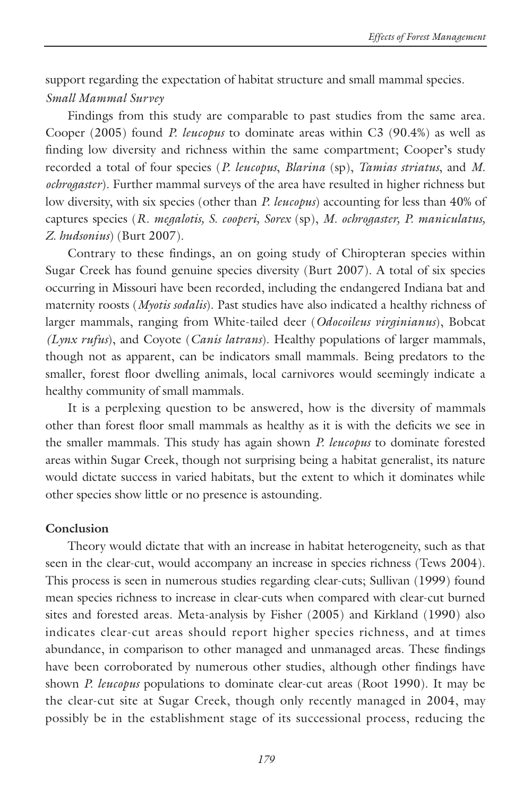support regarding the expectation of habitat structure and small mammal species. *Small Mammal Survey*

Findings from this study are comparable to past studies from the same area. Cooper (2005) found *P. leucopus* to dominate areas within C3 (90.4%) as well as finding low diversity and richness within the same compartment; Cooper's study recorded a total of four species (*P. leucopus*, *Blarina* (sp), *Tamias striatus*, and *M. ochrogaster*). Further mammal surveys of the area have resulted in higher richness but low diversity, with six species (other than *P. leucopus*) accounting for less than 40% of captures species (*R. megalotis, S. cooperi, Sorex* (sp), *M. ochrogaster, P. maniculatus, Z. hudsonius*) (Burt 2007).

Contrary to these findings, an on going study of Chiropteran species within Sugar Creek has found genuine species diversity (Burt 2007). A total of six species occurring in Missouri have been recorded, including the endangered Indiana bat and maternity roosts (*Myotis sodalis*). Past studies have also indicated a healthy richness of larger mammals, ranging from White-tailed deer (*Odocoileus virginianus*), Bobcat *(Lynx rufus*), and Coyote (*Canis latrans*). Healthy populations of larger mammals, though not as apparent, can be indicators small mammals. Being predators to the smaller, forest floor dwelling animals, local carnivores would seemingly indicate a healthy community of small mammals.

It is a perplexing question to be answered, how is the diversity of mammals other than forest floor small mammals as healthy as it is with the deficits we see in the smaller mammals. This study has again shown *P. leucopus* to dominate forested areas within Sugar Creek, though not surprising being a habitat generalist, its nature would dictate success in varied habitats, but the extent to which it dominates while other species show little or no presence is astounding.

## **Conclusion**

Theory would dictate that with an increase in habitat heterogeneity, such as that seen in the clear-cut, would accompany an increase in species richness (Tews 2004). This process is seen in numerous studies regarding clear-cuts; Sullivan (1999) found mean species richness to increase in clear-cuts when compared with clear-cut burned sites and forested areas. Meta-analysis by Fisher (2005) and Kirkland (1990) also indicates clear-cut areas should report higher species richness, and at times abundance, in comparison to other managed and unmanaged areas. These findings have been corroborated by numerous other studies, although other findings have shown *P. leucopus* populations to dominate clear-cut areas (Root 1990). It may be the clear-cut site at Sugar Creek, though only recently managed in 2004, may possibly be in the establishment stage of its successional process, reducing the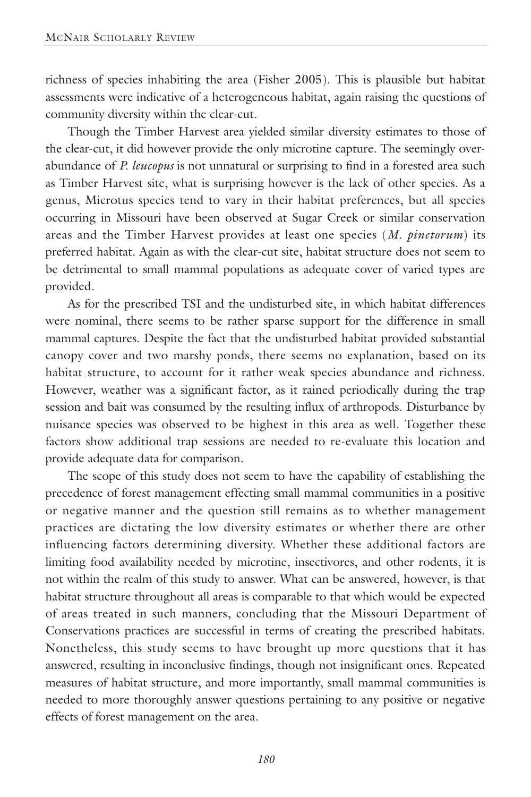richness of species inhabiting the area (Fisher 2005). This is plausible but habitat assessments were indicative of a heterogeneous habitat, again raising the questions of community diversity within the clear-cut.

Though the Timber Harvest area yielded similar diversity estimates to those of the clear-cut, it did however provide the only microtine capture. The seemingly overabundance of *P. leucopus* is not unnatural or surprising to find in a forested area such as Timber Harvest site, what is surprising however is the lack of other species. As a genus, Microtus species tend to vary in their habitat preferences, but all species occurring in Missouri have been observed at Sugar Creek or similar conservation areas and the Timber Harvest provides at least one species (*M. pinetorum*) its preferred habitat. Again as with the clear-cut site, habitat structure does not seem to be detrimental to small mammal populations as adequate cover of varied types are provided.

As for the prescribed TSI and the undisturbed site, in which habitat differences were nominal, there seems to be rather sparse support for the difference in small mammal captures. Despite the fact that the undisturbed habitat provided substantial canopy cover and two marshy ponds, there seems no explanation, based on its habitat structure, to account for it rather weak species abundance and richness. However, weather was a significant factor, as it rained periodically during the trap session and bait was consumed by the resulting influx of arthropods. Disturbance by nuisance species was observed to be highest in this area as well. Together these factors show additional trap sessions are needed to re-evaluate this location and provide adequate data for comparison.

The scope of this study does not seem to have the capability of establishing the precedence of forest management effecting small mammal communities in a positive or negative manner and the question still remains as to whether management practices are dictating the low diversity estimates or whether there are other influencing factors determining diversity. Whether these additional factors are limiting food availability needed by microtine, insectivores, and other rodents, it is not within the realm of this study to answer. What can be answered, however, is that habitat structure throughout all areas is comparable to that which would be expected of areas treated in such manners, concluding that the Missouri Department of Conservations practices are successful in terms of creating the prescribed habitats. Nonetheless, this study seems to have brought up more questions that it has answered, resulting in inconclusive findings, though not insignificant ones. Repeated measures of habitat structure, and more importantly, small mammal communities is needed to more thoroughly answer questions pertaining to any positive or negative effects of forest management on the area.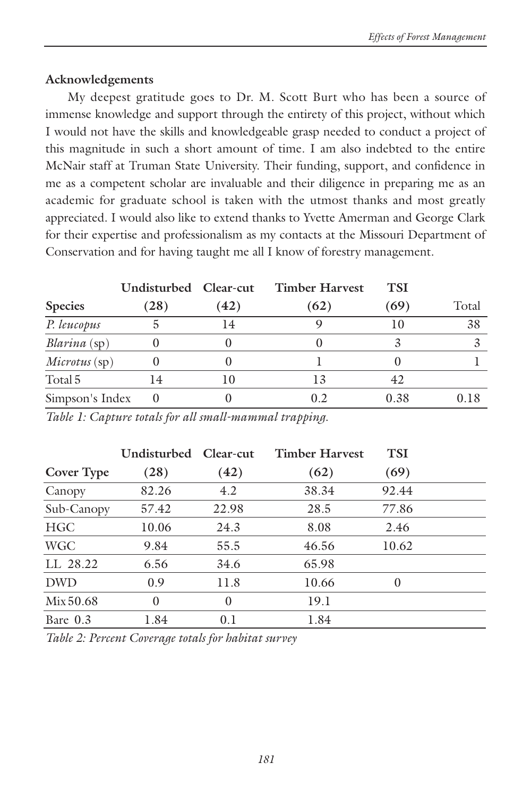# **Acknowledgements**

My deepest gratitude goes to Dr. M. Scott Burt who has been a source of immense knowledge and support through the entirety of this project, without which I would not have the skills and knowledgeable grasp needed to conduct a project of this magnitude in such a short amount of time. I am also indebted to the entire McNair staff at Truman State University. Their funding, support, and confidence in me as a competent scholar are invaluable and their diligence in preparing me as an academic for graduate school is taken with the utmost thanks and most greatly appreciated. I would also like to extend thanks to Yvette Amerman and George Clark for their expertise and professionalism as my contacts at the Missouri Department of Conservation and for having taught me all I know of forestry management.

|                 | Undisturbed Clear-cut |      | <b>Timber Harvest</b> | TSI  |       |
|-----------------|-----------------------|------|-----------------------|------|-------|
| <b>Species</b>  | (28)                  | (42) | (62)                  | (69) | Total |
| P. leucopus     |                       | 14   |                       | 10   | 38    |
| Blarina (sp)    |                       |      |                       |      |       |
| Microtus (sp)   |                       |      |                       |      |       |
| Total 5         | 14                    | 10   | 13                    | 42   |       |
| Simpson's Index | $\theta$              |      | 0.2                   | 0.38 | 0.18  |

*Table 1: Capture totals for all small-mammal trapping.*

|            | Undisturbed Clear-cut |          | <b>Timber Harvest</b> | <b>TSI</b> |  |
|------------|-----------------------|----------|-----------------------|------------|--|
| Cover Type | (28)                  | (42)     | (62)                  | (69)       |  |
| Canopy     | 82.26                 | 4.2      | 38.34                 | 92.44      |  |
| Sub-Canopy | 57.42                 | 22.98    | 28.5                  | 77.86      |  |
| <b>HGC</b> | 10.06                 | 24.3     | 8.08                  | 2.46       |  |
| <b>WGC</b> | 9.84                  | 55.5     | 46.56                 | 10.62      |  |
| LL 28.22   | 6.56                  | 34.6     | 65.98                 |            |  |
| <b>DWD</b> | 0.9                   | 11.8     | 10.66                 | $\Omega$   |  |
| Mix 50.68  | $\Omega$              | $\theta$ | 19.1                  |            |  |
| Bare 0.3   | 1.84                  | 0.1      | 1.84                  |            |  |

*Table 2: Percent Coverage totals for habitat survey*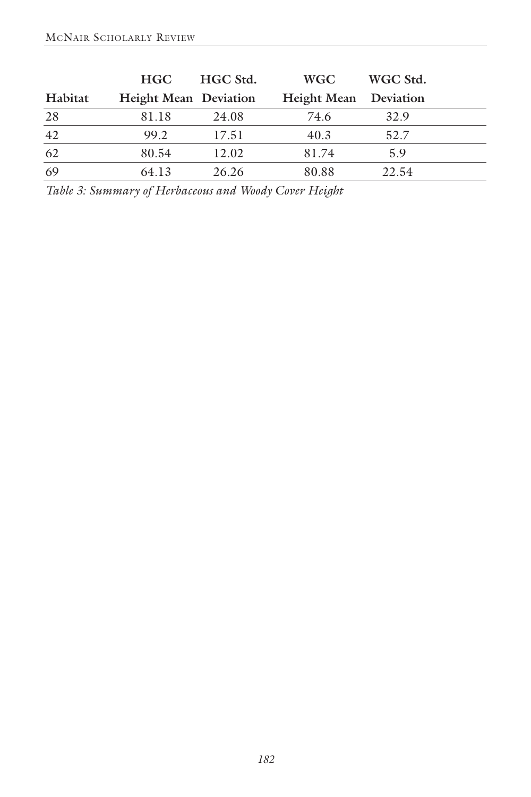|         | <b>HGC</b>                   | HGC Std. | <b>WGC</b>                   | WGC Std. |  |
|---------|------------------------------|----------|------------------------------|----------|--|
| Habitat | <b>Height Mean Deviation</b> |          | <b>Height Mean</b> Deviation |          |  |
| 28      | 81.18                        | 24.08    | 74.6                         | 32.9     |  |
| 42      | 99.2                         | 17.51    | 40.3                         | 52.7     |  |
| 62      | 80.54                        | 12.02    | 81.74                        | 5.9      |  |
| 69      | 64.13                        | 26.26    | 80.88                        | 22.54    |  |

*Table 3: Summary of Herbaceous and Woody Cover Height*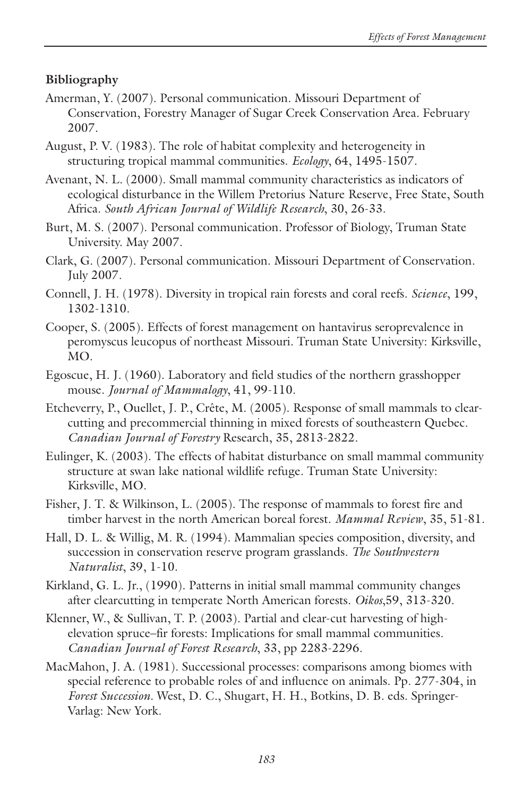# **Bibliography**

- Amerman, Y. (2007). Personal communication. Missouri Department of Conservation, Forestry Manager of Sugar Creek Conservation Area. February 2007.
- August, P. V. (1983). The role of habitat complexity and heterogeneity in structuring tropical mammal communities. *Ecology*, 64, 1495-1507.
- Avenant, N. L. (2000). Small mammal community characteristics as indicators of ecological disturbance in the Willem Pretorius Nature Reserve, Free State, South Africa. *South African Journal of Wildlife Research*, 30, 26-33.
- Burt, M. S. (2007). Personal communication. Professor of Biology, Truman State University. May 2007.
- Clark, G. (2007). Personal communication. Missouri Department of Conservation. July 2007.
- Connell, J. H. (1978). Diversity in tropical rain forests and coral reefs. *Science*, 199, 1302-1310.
- Cooper, S. (2005). Effects of forest management on hantavirus seroprevalence in peromyscus leucopus of northeast Missouri. Truman State University: Kirksville, MO.
- Egoscue, H. J. (1960). Laboratory and field studies of the northern grasshopper mouse. *Journal of Mammalogy*, 41, 99-110.
- Etcheverry, P., Ouellet, J. P., Crête, M. (2005). Response of small mammals to clearcutting and precommercial thinning in mixed forests of southeastern Quebec. *Canadian Journal of Forestry* Research, 35, 2813-2822.
- Eulinger, K. (2003). The effects of habitat disturbance on small mammal community structure at swan lake national wildlife refuge. Truman State University: Kirksville, MO.
- Fisher, J. T. & Wilkinson, L. (2005). The response of mammals to forest fire and timber harvest in the north American boreal forest. *Mammal Review*, 35, 51-81.
- Hall, D. L. & Willig, M. R. (1994). Mammalian species composition, diversity, and succession in conservation reserve program grasslands. *The Southwestern Naturalist*, 39, 1-10.
- Kirkland, G. L. Jr., (1990). Patterns in initial small mammal community changes after clearcutting in temperate North American forests. *Oikos*,59, 313-320.
- Klenner, W., & Sullivan, T. P. (2003). Partial and clear-cut harvesting of highelevation spruce–fir forests: Implications for small mammal communities. *Canadian Journal of Forest Research*, 33, pp 2283-2296.
- MacMahon, J. A. (1981). Successional processes: comparisons among biomes with special reference to probable roles of and influence on animals. Pp. 277-304, in *Forest Succession*. West, D. C., Shugart, H. H., Botkins, D. B. eds. Springer-Varlag: New York.